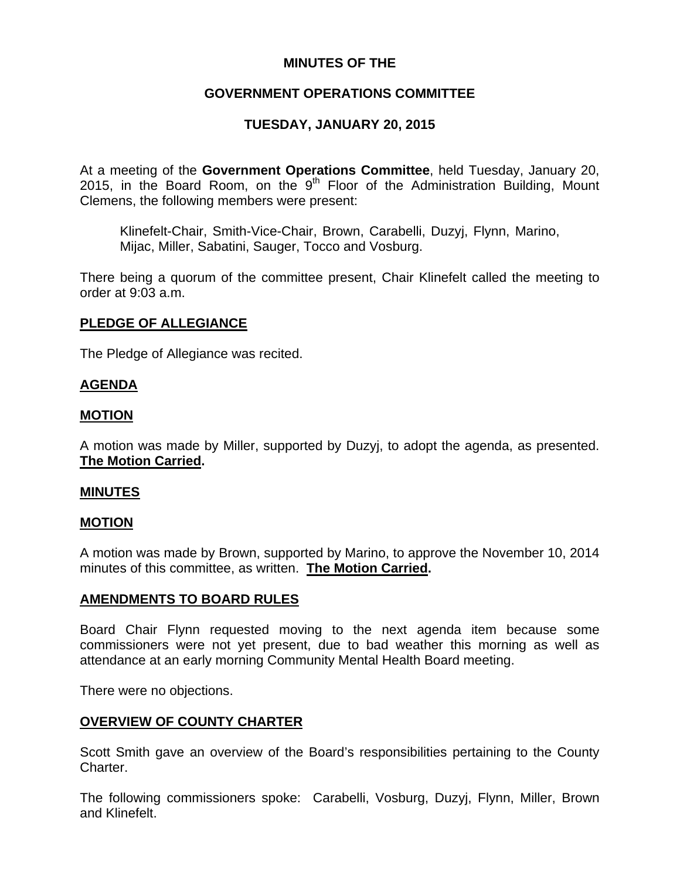## **MINUTES OF THE**

# **GOVERNMENT OPERATIONS COMMITTEE**

# **TUESDAY, JANUARY 20, 2015**

At a meeting of the **Government Operations Committee**, held Tuesday, January 20, 2015, in the Board Room, on the  $9<sup>th</sup>$  Floor of the Administration Building, Mount Clemens, the following members were present:

Klinefelt-Chair, Smith-Vice-Chair, Brown, Carabelli, Duzyj, Flynn, Marino, Mijac, Miller, Sabatini, Sauger, Tocco and Vosburg.

There being a quorum of the committee present, Chair Klinefelt called the meeting to order at 9:03 a.m.

## **PLEDGE OF ALLEGIANCE**

The Pledge of Allegiance was recited.

### **AGENDA**

### **MOTION**

A motion was made by Miller, supported by Duzyj, to adopt the agenda, as presented. **The Motion Carried.** 

#### **MINUTES**

#### **MOTION**

A motion was made by Brown, supported by Marino, to approve the November 10, 2014 minutes of this committee, as written. **The Motion Carried.** 

#### **AMENDMENTS TO BOARD RULES**

Board Chair Flynn requested moving to the next agenda item because some commissioners were not yet present, due to bad weather this morning as well as attendance at an early morning Community Mental Health Board meeting.

There were no objections.

## **OVERVIEW OF COUNTY CHARTER**

Scott Smith gave an overview of the Board's responsibilities pertaining to the County Charter.

The following commissioners spoke: Carabelli, Vosburg, Duzyj, Flynn, Miller, Brown and Klinefelt.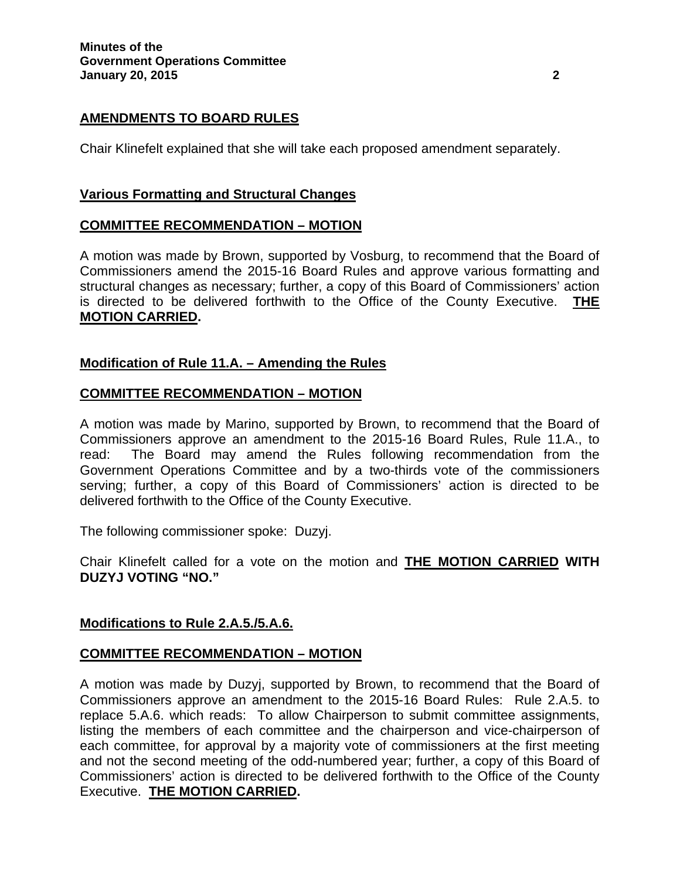## **AMENDMENTS TO BOARD RULES**

Chair Klinefelt explained that she will take each proposed amendment separately.

### **Various Formatting and Structural Changes**

### **COMMITTEE RECOMMENDATION – MOTION**

A motion was made by Brown, supported by Vosburg, to recommend that the Board of Commissioners amend the 2015-16 Board Rules and approve various formatting and structural changes as necessary; further, a copy of this Board of Commissioners' action is directed to be delivered forthwith to the Office of the County Executive. **THE MOTION CARRIED.** 

### **Modification of Rule 11.A. – Amending the Rules**

#### **COMMITTEE RECOMMENDATION – MOTION**

A motion was made by Marino, supported by Brown, to recommend that the Board of Commissioners approve an amendment to the 2015-16 Board Rules, Rule 11.A., to read: The Board may amend the Rules following recommendation from the Government Operations Committee and by a two-thirds vote of the commissioners serving; further, a copy of this Board of Commissioners' action is directed to be delivered forthwith to the Office of the County Executive.

The following commissioner spoke: Duzyj.

Chair Klinefelt called for a vote on the motion and **THE MOTION CARRIED WITH DUZYJ VOTING "NO."**

#### **Modifications to Rule 2.A.5./5.A.6.**

#### **COMMITTEE RECOMMENDATION – MOTION**

A motion was made by Duzyj, supported by Brown, to recommend that the Board of Commissioners approve an amendment to the 2015-16 Board Rules: Rule 2.A.5. to replace 5.A.6. which reads: To allow Chairperson to submit committee assignments, listing the members of each committee and the chairperson and vice-chairperson of each committee, for approval by a majority vote of commissioners at the first meeting and not the second meeting of the odd-numbered year; further, a copy of this Board of Commissioners' action is directed to be delivered forthwith to the Office of the County Executive. **THE MOTION CARRIED.**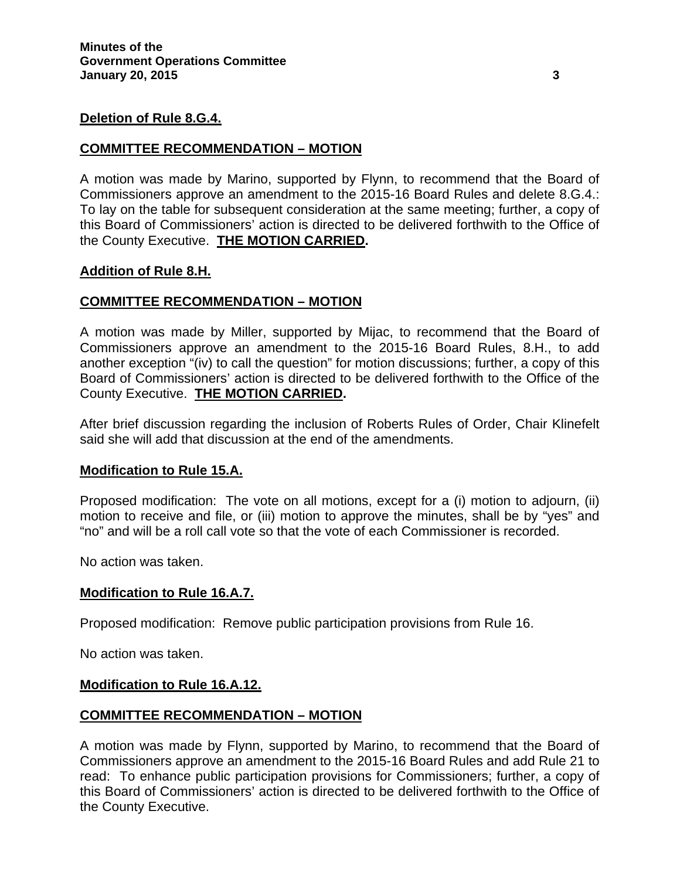#### **Deletion of Rule 8.G.4.**

#### **COMMITTEE RECOMMENDATION – MOTION**

A motion was made by Marino, supported by Flynn, to recommend that the Board of Commissioners approve an amendment to the 2015-16 Board Rules and delete 8.G.4.: To lay on the table for subsequent consideration at the same meeting; further, a copy of this Board of Commissioners' action is directed to be delivered forthwith to the Office of the County Executive. **THE MOTION CARRIED.**

#### **Addition of Rule 8.H.**

#### **COMMITTEE RECOMMENDATION – MOTION**

A motion was made by Miller, supported by Mijac, to recommend that the Board of Commissioners approve an amendment to the 2015-16 Board Rules, 8.H., to add another exception "(iv) to call the question" for motion discussions; further, a copy of this Board of Commissioners' action is directed to be delivered forthwith to the Office of the County Executive. **THE MOTION CARRIED.**

After brief discussion regarding the inclusion of Roberts Rules of Order, Chair Klinefelt said she will add that discussion at the end of the amendments.

#### **Modification to Rule 15.A.**

Proposed modification: The vote on all motions, except for a (i) motion to adjourn, (ii) motion to receive and file, or (iii) motion to approve the minutes, shall be by "yes" and "no" and will be a roll call vote so that the vote of each Commissioner is recorded.

No action was taken.

#### **Modification to Rule 16.A.7.**

Proposed modification: Remove public participation provisions from Rule 16.

No action was taken.

#### **Modification to Rule 16.A.12.**

#### **COMMITTEE RECOMMENDATION – MOTION**

A motion was made by Flynn, supported by Marino, to recommend that the Board of Commissioners approve an amendment to the 2015-16 Board Rules and add Rule 21 to read: To enhance public participation provisions for Commissioners; further, a copy of this Board of Commissioners' action is directed to be delivered forthwith to the Office of the County Executive.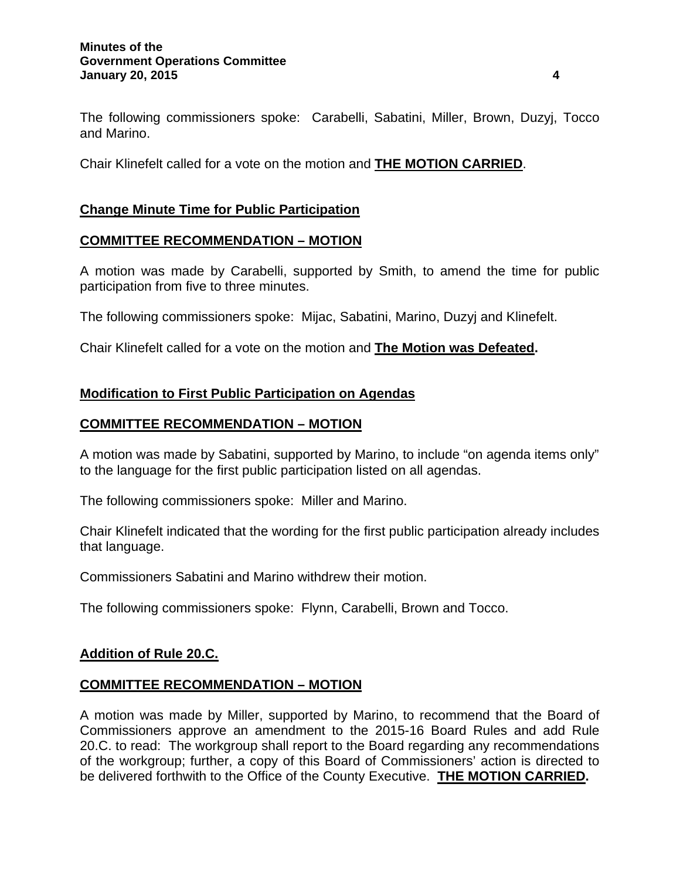#### **Minutes of the Government Operations Committee January 20, 2015 4**

The following commissioners spoke: Carabelli, Sabatini, Miller, Brown, Duzyj, Tocco and Marino.

Chair Klinefelt called for a vote on the motion and **THE MOTION CARRIED**.

## **Change Minute Time for Public Participation**

#### **COMMITTEE RECOMMENDATION – MOTION**

A motion was made by Carabelli, supported by Smith, to amend the time for public participation from five to three minutes.

The following commissioners spoke: Mijac, Sabatini, Marino, Duzyj and Klinefelt.

Chair Klinefelt called for a vote on the motion and **The Motion was Defeated.** 

#### **Modification to First Public Participation on Agendas**

#### **COMMITTEE RECOMMENDATION – MOTION**

A motion was made by Sabatini, supported by Marino, to include "on agenda items only" to the language for the first public participation listed on all agendas.

The following commissioners spoke: Miller and Marino.

Chair Klinefelt indicated that the wording for the first public participation already includes that language.

Commissioners Sabatini and Marino withdrew their motion.

The following commissioners spoke: Flynn, Carabelli, Brown and Tocco.

#### **Addition of Rule 20.C.**

#### **COMMITTEE RECOMMENDATION – MOTION**

A motion was made by Miller, supported by Marino, to recommend that the Board of Commissioners approve an amendment to the 2015-16 Board Rules and add Rule 20.C. to read: The workgroup shall report to the Board regarding any recommendations of the workgroup; further, a copy of this Board of Commissioners' action is directed to be delivered forthwith to the Office of the County Executive. **THE MOTION CARRIED.**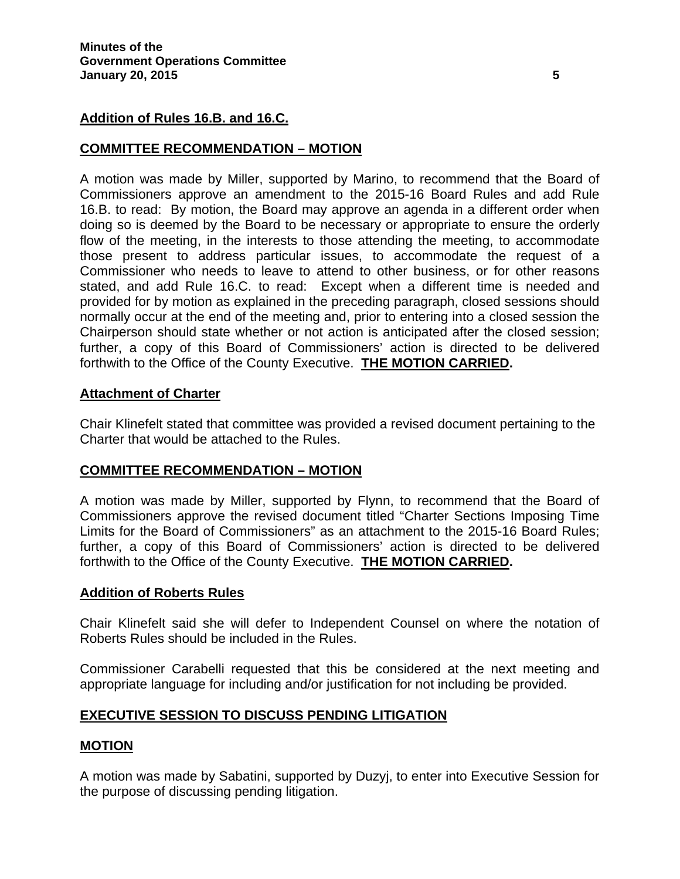### **Addition of Rules 16.B. and 16.C.**

#### **COMMITTEE RECOMMENDATION – MOTION**

A motion was made by Miller, supported by Marino, to recommend that the Board of Commissioners approve an amendment to the 2015-16 Board Rules and add Rule 16.B. to read: By motion, the Board may approve an agenda in a different order when doing so is deemed by the Board to be necessary or appropriate to ensure the orderly flow of the meeting, in the interests to those attending the meeting, to accommodate those present to address particular issues, to accommodate the request of a Commissioner who needs to leave to attend to other business, or for other reasons stated, and add Rule 16.C. to read: Except when a different time is needed and provided for by motion as explained in the preceding paragraph, closed sessions should normally occur at the end of the meeting and, prior to entering into a closed session the Chairperson should state whether or not action is anticipated after the closed session; further, a copy of this Board of Commissioners' action is directed to be delivered forthwith to the Office of the County Executive. **THE MOTION CARRIED.**

#### **Attachment of Charter**

Chair Klinefelt stated that committee was provided a revised document pertaining to the Charter that would be attached to the Rules.

## **COMMITTEE RECOMMENDATION – MOTION**

A motion was made by Miller, supported by Flynn, to recommend that the Board of Commissioners approve the revised document titled "Charter Sections Imposing Time Limits for the Board of Commissioners" as an attachment to the 2015-16 Board Rules; further, a copy of this Board of Commissioners' action is directed to be delivered forthwith to the Office of the County Executive. **THE MOTION CARRIED.**

#### **Addition of Roberts Rules**

Chair Klinefelt said she will defer to Independent Counsel on where the notation of Roberts Rules should be included in the Rules.

Commissioner Carabelli requested that this be considered at the next meeting and appropriate language for including and/or justification for not including be provided.

#### **EXECUTIVE SESSION TO DISCUSS PENDING LITIGATION**

#### **MOTION**

A motion was made by Sabatini, supported by Duzyj, to enter into Executive Session for the purpose of discussing pending litigation.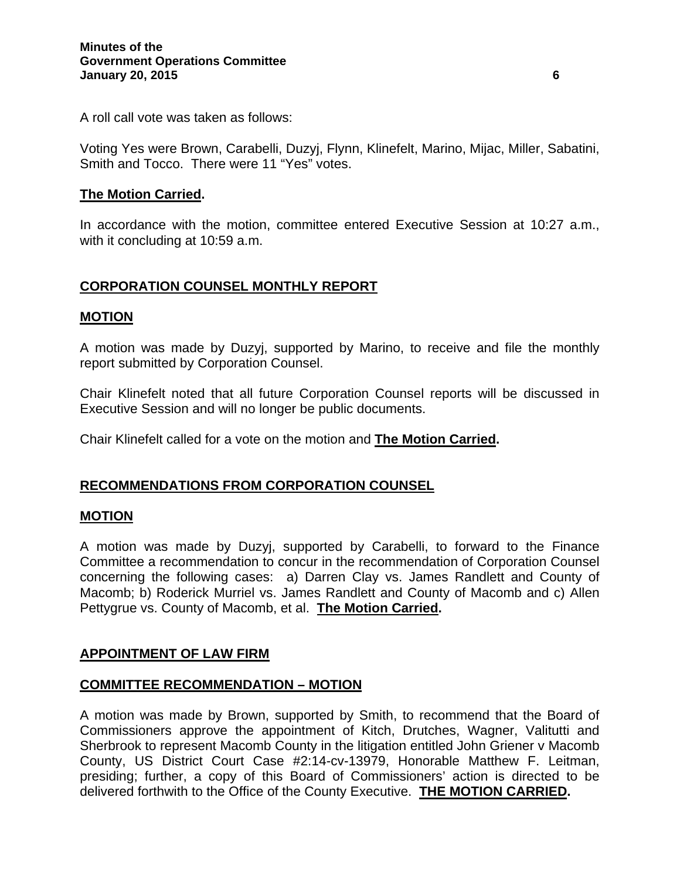A roll call vote was taken as follows:

Voting Yes were Brown, Carabelli, Duzyj, Flynn, Klinefelt, Marino, Mijac, Miller, Sabatini, Smith and Tocco. There were 11 "Yes" votes.

#### **The Motion Carried.**

In accordance with the motion, committee entered Executive Session at 10:27 a.m., with it concluding at 10:59 a.m.

## **CORPORATION COUNSEL MONTHLY REPORT**

#### **MOTION**

A motion was made by Duzyj, supported by Marino, to receive and file the monthly report submitted by Corporation Counsel.

Chair Klinefelt noted that all future Corporation Counsel reports will be discussed in Executive Session and will no longer be public documents.

Chair Klinefelt called for a vote on the motion and **The Motion Carried.** 

## **RECOMMENDATIONS FROM CORPORATION COUNSEL**

#### **MOTION**

A motion was made by Duzyj, supported by Carabelli, to forward to the Finance Committee a recommendation to concur in the recommendation of Corporation Counsel concerning the following cases: a) Darren Clay vs. James Randlett and County of Macomb; b) Roderick Murriel vs. James Randlett and County of Macomb and c) Allen Pettygrue vs. County of Macomb, et al. **The Motion Carried.**

#### **APPOINTMENT OF LAW FIRM**

#### **COMMITTEE RECOMMENDATION – MOTION**

A motion was made by Brown, supported by Smith, to recommend that the Board of Commissioners approve the appointment of Kitch, Drutches, Wagner, Valitutti and Sherbrook to represent Macomb County in the litigation entitled John Griener v Macomb County, US District Court Case #2:14-cv-13979, Honorable Matthew F. Leitman, presiding; further, a copy of this Board of Commissioners' action is directed to be delivered forthwith to the Office of the County Executive. **THE MOTION CARRIED.**